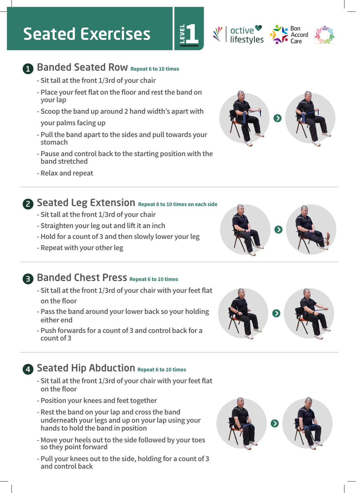# Seated Exercises



- **Sit tall at the front 1/3rd of your chair**
- **Place your feet flat on the floor and rest the band on your lap**

EVEL<br>.

- **Scoop the band up around 2 hand width's apart with**
- **your palms facing up**
- **Pull the band apart to the sides and pull towards your stomach**
- **Pause and control back to the starting position with the band stretched**
- **Relax and repeat**



Bon

active<br>lifestyles

- **2** Seated Leg Extension Repeat 6 to 10 times on each side
	- **Sit tall at the front 1/3rd of your chair**
	- **Straighten your leg out and lift it an inch**
	- **Hold for a count of 3 and then slowly lower your leg**
	- **Repeat with your other leg**

### **B** Banded Chest Press Repeat 6 to 10 times

- **Sit tall at the front 1/3rd of your chair with your feet flat on the floor**
- **Pass the band around your lower back so your holding either end**
- **Push forwards for a count of 3 and control back for a count of 3**

### **4 Seated Hip Abduction Repeat 6 to 10 times**

- **Sit tall at the front 1/3rd of your chair with your feet flat on the floor**
- **Position your knees and feet together**
- **Rest the band on your lap and cross the band underneath your legs and up on your lap using your hands to hold the band in position**
- **- Move your heels out to the side followed by your toes so they point forward**
- **- Pull your knees out to the side, holding for a count of 3 and control back**